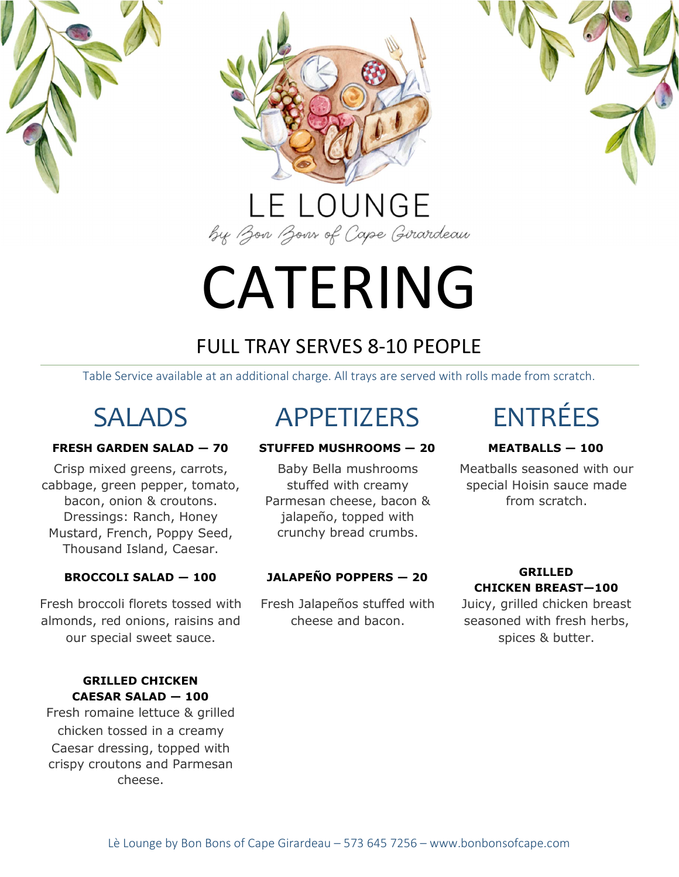

# CATERING

## FULL TRAY SERVES 8-10 PEOPLE

Table Service available at an additional charge. All trays are served with rolls made from scratch.

Crisp mixed greens, carrots, cabbage, green pepper, tomato, bacon, onion & croutons. Dressings: Ranch, Honey Mustard, French, Poppy Seed, Thousand Island, Caesar.

Fresh broccoli florets tossed with almonds, red onions, raisins and our special sweet sauce.

### GRILLED CHICKEN CAESAR SALAD — 100

Fresh romaine lettuce & grilled chicken tossed in a creamy Caesar dressing, topped with crispy croutons and Parmesan cheese.

## SALADS APPETIZERS ENTRÉES

### FRESH GARDEN SALAD — 70 STUFFED MUSHROOMS — 20 MEATBALLS — 100

Baby Bella mushrooms stuffed with creamy Parmesan cheese, bacon & jalapeño, topped with crunchy bread crumbs.

## BROCCOLI SALAD — 100 JALAPEÑO POPPERS — 20 GRILLED

Fresh Jalapeños stuffed with cheese and bacon.

Meatballs seasoned with our special Hoisin sauce made from scratch.

## CHICKEN BREAST—100

Juicy, grilled chicken breast seasoned with fresh herbs, spices & butter.